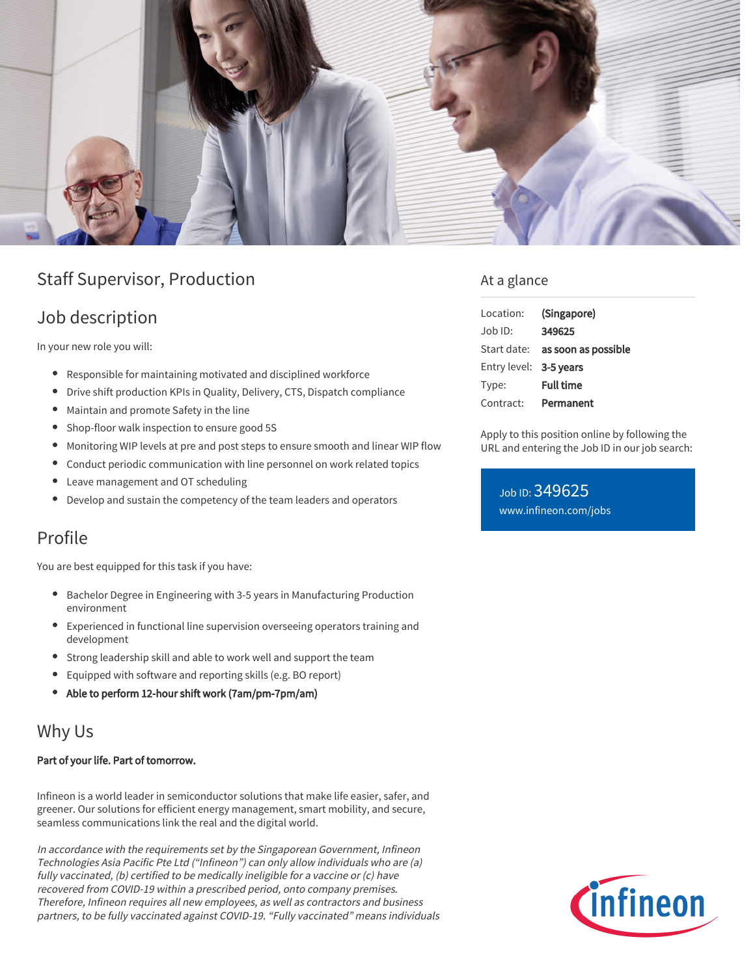

# Staff Supervisor, Production

## Job description

In your new role you will:

- Responsible for maintaining motivated and disciplined workforce
- Drive shift production KPIs in Quality, Delivery, CTS, Dispatch compliance
- Maintain and promote Safety in the line
- Shop-floor walk inspection to ensure good 5S
- Monitoring WIP levels at pre and post steps to ensure smooth and linear WIP flow
- Conduct periodic communication with line personnel on work related topics
- Leave management and OT scheduling
- Develop and sustain the competency of the team leaders and operators

## Profile

You are best equipped for this task if you have:

- Bachelor Degree in Engineering with 3-5 years in Manufacturing Production environment
- Experienced in functional line supervision overseeing operators training and development
- Strong leadership skill and able to work well and support the team
- Equipped with software and reporting skills (e.g. BO report)
- Able to perform 12-hour shift work (7am/pm-7pm/am)

## Why Us

#### Part of your life. Part of tomorrow.

Infineon is a world leader in semiconductor solutions that make life easier, safer, and greener. Our solutions for efficient energy management, smart mobility, and secure, seamless communications link the real and the digital world.

In accordance with the requirements set by the Singaporean Government, Infineon Technologies Asia Pacific Pte Ltd ("Infineon") can only allow individuals who are (a) fully vaccinated, (b) certified to be medically ineligible for a vaccine or (c) have recovered from COVID-19 within a prescribed period, onto company premises. Therefore, Infineon requires all new employees, as well as contractors and business partners, to be fully vaccinated against COVID-19. "Fully vaccinated" means individuals

### At a glance

| Location:              | (Singapore)                            |
|------------------------|----------------------------------------|
| $Joh$ ID:              | 349625                                 |
|                        | Start date: <b>as soon as possible</b> |
| Entry level: 3-5 years |                                        |
| Type:                  | <b>Full time</b>                       |
| Contract:              | Permanent                              |

Apply to this position online by following the URL and entering the Job ID in our job search:

Job ID: 349625 [www.infineon.com/jobs](https://www.infineon.com/jobs)